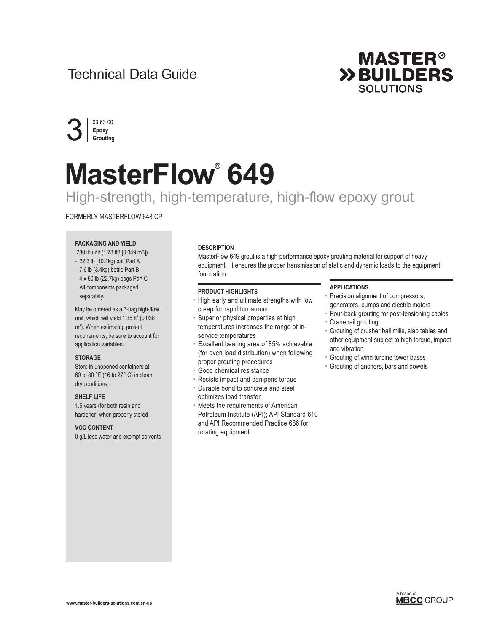# Technical Data Guide





# **MasterFlow® 649**

# High-strength, high-temperature, high-flow epoxy grout

#### FORMERLY MASTERFLOW 648 CP

## **PACKAGING AND YIELD**

230 lb unit (1.73 ft3 [0.049 m3])

- 22.3 lb (10.1kg) pail Part A
- 7.6 lb (3.4kg) bottle Part B
- 4 x 50 lb (22.7kg) bags Part C All components packaged separately.

May be ordered as a 3-bag high-flow unit, which will yield  $1.35 \text{ ft}^3$  (0.038 m3 ). When estimating project requirements, be sure to account for application variables.

#### **STORAGE**

Store in unopened containers at 60 to 80 °F (16 to 27° C) in clean, dry conditions.

#### **SHELF LIFE**

1.5 years (for both resin and hardener) when properly stored

#### **VOC CONTENT**

0 g/L less water and exempt solvents

#### **DESCRIPTION**

MasterFlow 649 grout is a high-performance epoxy grouting material for support of heavy equipment. It ensures the proper transmission of static and dynamic loads to the equipment foundation.

#### **PRODUCT HIGHLIGHTS**

- High early and ultimate strengths with low creep for rapid turnaround
- Superior physical properties at high temperatures increases the range of inservice temperatures
- Excellent bearing area of 85% achievable (for even load distribution) when following proper grouting procedures
- Good chemical resistance
- Resists impact and dampens torque • Durable bond to concrete and steel optimizes load transfer
- Meets the requirements of American Petroleum Institute (API); API Standard 610 and API Recommended Practice 686 for rotating equipment

#### **APPLICATIONS**

- Precision alignment of compressors, generators, pumps and electric motors
- Pour-back grouting for post-tensioning cables
- Crane rail grouting
- Grouting of crusher ball mills, slab tables and other equipment subject to high torque, impact and vibration
- Grouting of wind turbine tower bases
- Grouting of anchors, bars and dowels

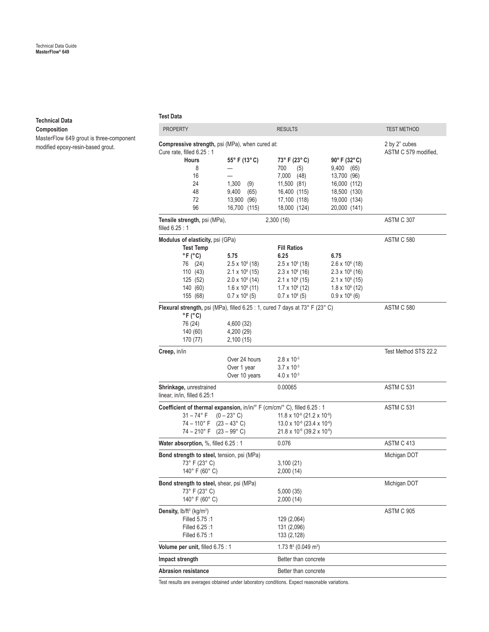#### **Technical Data**

**Composition**

MasterFlow 649 grout is three-component modified epoxy-resin-based grout.

**Test Data**

| <b>PROPERTY</b>                                                                                                                                                                                                          |                                                                                                                                         | <b>RESULTS</b>                                                                                                                                              |                                                                                                                                         | <b>TEST METHOD</b>                    |
|--------------------------------------------------------------------------------------------------------------------------------------------------------------------------------------------------------------------------|-----------------------------------------------------------------------------------------------------------------------------------------|-------------------------------------------------------------------------------------------------------------------------------------------------------------|-----------------------------------------------------------------------------------------------------------------------------------------|---------------------------------------|
| Compressive strength, psi (MPa), when cured at:<br>Cure rate, filled 6.25 : 1<br><b>Hours</b><br>8<br>16<br>24<br>48                                                                                                     | 55° F (13° C)<br>1,300<br>(9)<br>9,400<br>(65)                                                                                          | 73° F (23° C)<br>700<br>(5)<br>7,000<br>(48)<br>11,500 (81)<br>16,400 (115)                                                                                 | $90^{\circ}$ F (32 $^{\circ}$ C)<br>9,400 (65)<br>13,700 (96)<br>16,000 (112)<br>18,500 (130)                                           | 2 by 2" cubes<br>ASTM C 579 modified. |
| 72<br>96                                                                                                                                                                                                                 | 13,900 (96)<br>16,700 (115)                                                                                                             | 17,100 (118)<br>18,000 (124)                                                                                                                                | 19,000 (134)<br>20,000 (141)                                                                                                            |                                       |
| Tensile strength, psi (MPa),<br>filled 6.25 : 1                                                                                                                                                                          |                                                                                                                                         | 2,300 (16)                                                                                                                                                  |                                                                                                                                         | ASTM C 307                            |
| Modulus of elasticity, psi (GPa)<br><b>Test Temp</b><br>$^{\circ}$ F ( $^{\circ}$ C)<br>76 (24)<br>110 (43)<br>125 (52)<br>140 (60)<br>155 (68)                                                                          | 5.75<br>$2.5 \times 10^6$ (18)<br>$2.1 \times 10^6$ (15)<br>$2.0 \times 10^6$ (14)<br>$1.6 \times 10^{6}$ (11)<br>$0.7 \times 10^6 (5)$ | <b>Fill Ratios</b><br>6.25<br>$2.5 \times 10^6$ (18)<br>$2.3 \times 10^6$ (16)<br>$2.1 \times 10^6$ (15)<br>$1.7 \times 10^6$ (12)<br>$0.7 \times 10^6$ (5) | 6.75<br>$2.6 \times 10^6$ (18)<br>$2.3 \times 10^6$ (16)<br>$2.1 \times 10^6$ (15)<br>$1.8 \times 10^{6}$ (12)<br>$0.9 \times 10^6$ (6) | ASTM C 580                            |
| Flexural strength, psi (MPa), filled 6.25 : 1, cured 7 days at 73° F (23° C)<br>$^{\circ}$ F ( $^{\circ}$ C)<br>76 (24)<br>140 (60)<br>170 (77)                                                                          | 4,600 (32)<br>4,200 (29)<br>2,100(15)                                                                                                   |                                                                                                                                                             |                                                                                                                                         | ASTM C 580                            |
| Creep, in/in                                                                                                                                                                                                             | Over 24 hours<br>Over 1 year<br>Over 10 years                                                                                           | $2.8 \times 10^{-3}$<br>$3.7 \times 10^{-3}$<br>$4.0 \times 10^{-3}$                                                                                        |                                                                                                                                         | Test Method STS 22.2                  |
| Shrinkage, unrestrained<br>linear, in/in, filled 6.25:1                                                                                                                                                                  |                                                                                                                                         | 0.00065                                                                                                                                                     |                                                                                                                                         | ASTM C 531                            |
| Coefficient of thermal expansion, in/in/° F (cm/cm/° C), filled 6.25 : 1<br>$31 - 74$ °F<br>$(0 - 23^{\circ} \text{ C})$<br>74 – 110° F<br>$(23 - 43^{\circ} \text{ C})$<br>74 – 210° F<br>$(23 - 99^{\circ} \text{ C})$ |                                                                                                                                         | $11.8 \times 10^{-6}$ (21.2 x 10 <sup>-6</sup> )<br>13.0 x 10 <sup>-6</sup> (23.4 x 10 <sup>-6</sup> )<br>21.8 x 10-6 (39.2 x 10-6)                         |                                                                                                                                         | ASTM C 531                            |
| Water absorption, %, filled 6.25 : 1                                                                                                                                                                                     |                                                                                                                                         | 0.076                                                                                                                                                       |                                                                                                                                         | <b>ASTM C 413</b>                     |
| Bond strength to steel, tension, psi (MPa)<br>73° F (23° C)<br>140 $^{\circ}$ F (60 $^{\circ}$ C)                                                                                                                        |                                                                                                                                         | 3,100(21)<br>2,000 (14)                                                                                                                                     |                                                                                                                                         | Michigan DOT                          |
| Bond strength to steel, shear, psi (MPa)<br>73° F (23° C)<br>140° F (60° C)                                                                                                                                              |                                                                                                                                         | 5,000 (35)<br>2,000(14)                                                                                                                                     |                                                                                                                                         | Michigan DOT                          |
| Density, $lb/ft^3$ (kg/m <sup>3</sup> )<br>Filled 5.75:1<br>Filled 6.25:1<br>Filled 6.75:1                                                                                                                               |                                                                                                                                         | 129 (2,064)<br>131 (2,096)<br>133 (2,128)                                                                                                                   |                                                                                                                                         | ASTM C 905                            |
| Volume per unit, filled 6.75 : 1                                                                                                                                                                                         |                                                                                                                                         | 1.73 ft <sup>3</sup> (0.049 m <sup>3</sup> )                                                                                                                |                                                                                                                                         |                                       |
| Impact strength                                                                                                                                                                                                          |                                                                                                                                         | Better than concrete                                                                                                                                        |                                                                                                                                         |                                       |
| Abrasion resistance                                                                                                                                                                                                      |                                                                                                                                         | Better than concrete                                                                                                                                        |                                                                                                                                         |                                       |

Test results are averages obtained under laboratory conditions. Expect reasonable variations.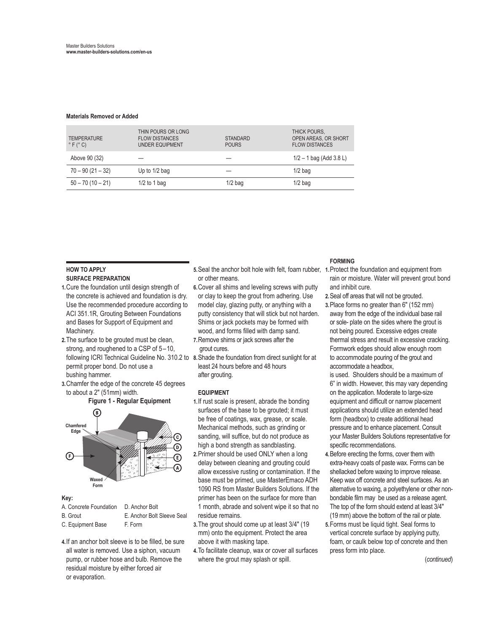#### **Materials Removed or Added**

| <b>TEMPERATURE</b><br>$\degree$ F ( $\degree$ C) | THIN POURS OR LONG<br><b>FLOW DISTANCES</b><br><b>UNDER EQUIPMENT</b> | <b>STANDARD</b><br><b>POURS</b> | THICK POURS,<br>OPEN AREAS, OR SHORT<br><b>FLOW DISTANCES</b> |
|--------------------------------------------------|-----------------------------------------------------------------------|---------------------------------|---------------------------------------------------------------|
| Above 90 (32)                                    |                                                                       |                                 | $1/2 - 1$ bag (Add 3.8 L)                                     |
| $70 - 90(21 - 32)$                               | Up to $1/2$ bag                                                       |                                 | $1/2$ bag                                                     |
| $50 - 70(10 - 21)$                               | $1/2$ to 1 bag                                                        | $1/2$ bag                       | $1/2$ bag                                                     |

#### **HOW TO APPLY SURFACE PREPARATION**

- **1.**Cure the foundation until design strength of the concrete is achieved and foundation is dry. Use the recommended procedure according to ACI 351.1R, Grouting Between Foundations and Bases for Support of Equipment and Machinery.
- **2.**The surface to be grouted must be clean, strong, and roughened to a CSP of 5–10, permit proper bond. Do not use a bushing hammer.
- **3.**Chamfer the edge of the concrete 45 degrees to about a 2" (51mm) width.

**Figure 1 - Regular Equipment**



#### **Key:**

- A. Concrete Foundation D. Anchor Bolt
- B. Grout E. Anchor Bolt Sleeve Seal
- C. Equipment Base F. Form
- **4.**If an anchor bolt sleeve is to be filled, be sure all water is removed. Use a siphon, vacuum pump, or rubber hose and bulb. Remove the residual moisture by either forced air or evaporation.
- 5. Seal the anchor bolt hole with felt, foam rubber, 1. Protect the foundation and equipment from or other means.
- **6.**Cover all shims and leveling screws with putty or clay to keep the grout from adhering. Use model clay, glazing putty, or anything with a putty consistency that will stick but not harden. Shims or jack pockets may be formed with wood, and forms filled with damp sand.
- **7.**Remove shims or jack screws after the grout cures.
- following ICRI Technical Guideline No. 310.2 to **8.**Shade the foundation from direct sunlight for at least 24 hours before and 48 hours after grouting.

#### **EQUIPMENT**

- **1.**If rust scale is present, abrade the bonding surfaces of the base to be grouted; it must be free of coatings, wax, grease, or scale. Mechanical methods, such as grinding or sanding, will suffice, but do not produce as high a bond strength as sandblasting.
- **2.**Primer should be used ONLY when a long delay between cleaning and grouting could allow excessive rusting or contamination. If the base must be primed, use MasterEmaco ADH 1090 RS from Master Builders Solutions. If the primer has been on the surface for more than 1 month, abrade and solvent wipe it so that no residue remains.
- **3.**The grout should come up at least 3/4" (19 mm) onto the equipment. Protect the area above it with masking tape.
- **4.**To facilitate cleanup, wax or cover all surfaces where the grout may splash or spill.

#### **FORMING**

- rain or moisture. Water will prevent grout bond and inhibit cure.
- **2.**Seal off areas that will not be grouted.
- **3.**Place forms no greater than 6" (152 mm) away from the edge of the individual base rail or sole- plate on the sides where the grout is not being poured. Excessive edges create thermal stress and result in excessive cracking. Formwork edges should allow enough room to accommodate pouring of the grout and accommodate a headbox,
- is used. Shoulders should be a maximum of 6" in width. However, this may vary depending on the application. Moderate to large-size equipment and difficult or narrow placement applications should utilize an extended head form (headbox) to create additional head pressure and to enhance placement. Consult your Master Builders Solutions representative for specific recommendations.
- **4.**Before erecting the forms, cover them with extra-heavy coats of paste wax. Forms can be shellacked before waxing to improve release. Keep wax off concrete and steel surfaces. As an alternative to waxing, a polyethylene or other nonbondable film may be used as a release agent. The top of the form should extend at least 3/4" (19 mm) above the bottom of the rail or plate.
- **5.**Forms must be liquid tight. Seal forms to vertical concrete surface by applying putty, foam, or caulk below top of concrete and then press form into place.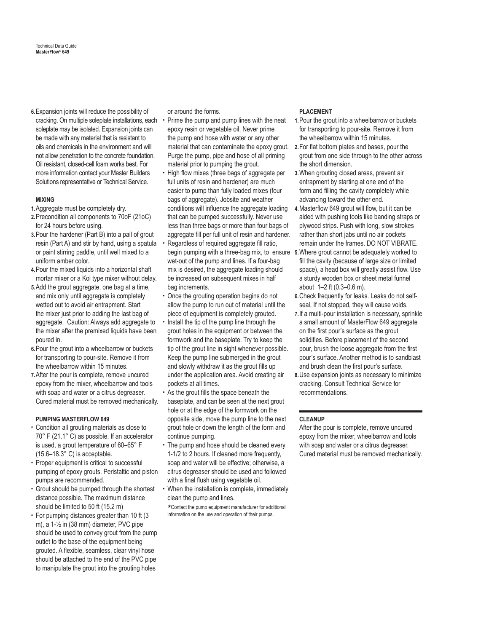**6.**Expansion joints will reduce the possibility of cracking. On multiple soleplate installations, each . soleplate may be isolated. Expansion joints can be made with any material that is resistant to oils and chemicals in the environment and will not allow penetration to the concrete foundation. Oil resistant, closed-cell foam works best. For more information contact your Master Builders Solutions representative or Technical Service.

#### **MIXING**

- **1.**Aggregate must be completely dry.
- **2.**Precondition all components to 70oF (21oC) for 24 hours before using.
- **3.**Pour the hardener (Part B) into a pail of grout resin (Part A) and stir by hand, using a spatula or paint stirring paddle, until well mixed to a uniform amber color.
- **4.**Pour the mixed liquids into a horizontal shaft mortar mixer or a Kol type mixer without delay.
- **5.**Add the grout aggregate, one bag at a time, and mix only until aggregate is completely wetted out to avoid air entrapment. Start the mixer just prior to adding the last bag of aggregate. Caution: Always add aggregate to the mixer after the premixed liquids have been poured in.
- **6.**Pour the grout into a wheelbarrow or buckets for transporting to pour-site. Remove it from the wheelbarrow within 15 minutes.
- **7.**After the pour is complete, remove uncured epoxy from the mixer, wheelbarrow and tools with soap and water or a citrus degreaser. Cured material must be removed mechanically.

#### **PUMPING MASTERFLOW 649**

- Condition all grouting materials as close to 70° F (21.1° C) as possible. If an accelerator is used, a grout temperature of 60–65° F (15.6–18.3° C) is acceptable.
- Proper equipment is critical to successful pumping of epoxy grouts. Peristaltic and piston pumps are recommended.
- Grout should be pumped through the shortest distance possible. The maximum distance should be limited to 50 ft (15.2 m)
- For pumping distances greater than 10 ft (3 m), a 1-½ in (38 mm) diameter, PVC pipe should be used to convey grout from the pump outlet to the base of the equipment being grouted. A flexible, seamless, clear vinyl hose should be attached to the end of the PVC pipe to manipulate the grout into the grouting holes

or around the forms.

- material that can contaminate the epoxy grout. 2. For flat bottom plates and bases, pour the • Prime the pump and pump lines with the neat epoxy resin or vegetable oil. Never prime the pump and hose with water or any other Purge the pump, pipe and hose of all priming material prior to pumping the grout.
- High flow mixes (three bags of aggregate per full units of resin and hardener) are much easier to pump than fully loaded mixes (four bags of aggregate). Jobsite and weather conditions will influence the aggregate loading that can be pumped successfully. Never use less than three bags or more than four bags of aggregate fill per full unit of resin and hardener.
- begin pumping with a three-bag mix, to ensure 5. Where grout cannot be adequately worked to • Regardless of required aggregate fill ratio, wet-out of the pump and lines. If a four-bag mix is desired, the aggregate loading should be increased on subsequent mixes in half bag increments.
- Once the grouting operation begins do not allow the pump to run out of material until the piece of equipment is completely grouted.
- Install the tip of the pump line through the grout holes in the equipment or between the formwork and the baseplate. Try to keep the tip of the grout line in sight whenever possible. Keep the pump line submerged in the grout and slowly withdraw it as the grout fills up under the application area. Avoid creating air pockets at all times.
- As the grout fills the space beneath the baseplate, and can be seen at the next grout hole or at the edge of the formwork on the opposite side, move the pump line to the next grout hole or down the length of the form and continue pumping.
- The pump and hose should be cleaned every 1-1/2 to 2 hours. If cleaned more frequently, soap and water will be effective; otherwise, a citrus degreaser should be used and followed with a final flush using vegetable oil.
- When the installation is complete, immediately clean the pump and lines.

 \* Contact the pump equipment manufacturer for additional information on the use and operation of their pumps.

#### **PLACEMENT**

- **1.**Pour the grout into a wheelbarrow or buckets for transporting to pour-site. Remove it from the wheelbarrow within 15 minutes.
- grout from one side through to the other across the short dimension.
- **3.**When grouting closed areas, prevent air entrapment by starting at one end of the form and filling the cavity completely while advancing toward the other end.
- **4.**Masterflow 649 grout will flow, but it can be aided with pushing tools like banding straps or plywood strips. Push with long, slow strokes rather than short jabs until no air pockets remain under the frames. DO NOT VIBRATE.
- fill the cavity (because of large size or limited space), a head box will greatly assist flow. Use a sturdy wooden box or sheet metal funnel about 1–2 ft (0.3–0.6 m).
- **6.**Check frequently for leaks. Leaks do not selfseal. If not stopped, they will cause voids.
- **7.**If a multi-pour installation is necessary, sprinkle a small amount of MasterFlow 649 aggregate on the first pour's surface as the grout solidifies. Before placement of the second pour, brush the loose aggregate from the first pour's surface. Another method is to sandblast and brush clean the first pour's surface.
- **8.**Use expansion joints as necessary to minimize cracking. Consult Technical Service for recommendations.

#### **CLEANUP**

After the pour is complete, remove uncured epoxy from the mixer, wheelbarrow and tools with soap and water or a citrus degreaser. Cured material must be removed mechanically.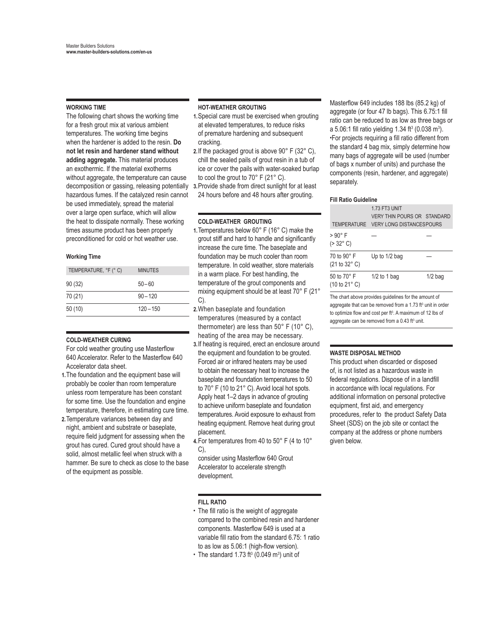#### **WORKING TIME**

The following chart shows the working time for a fresh grout mix at various ambient temperatures. The working time begins when the hardener is added to the resin. **Do not let resin and hardener stand without adding aggregate.** This material produces an exothermic. If the material exotherms without aggregate, the temperature can cause decomposition or gassing, releasing potentially hazardous fumes. If the catalyzed resin cannot be used immediately, spread the material over a large open surface, which will allow the heat to dissipate normally. These working times assume product has been properly preconditioned for cold or hot weather use.

#### **Working Time**

| TEMPERATURE, °F (° C) | <b>MINUTES</b> |
|-----------------------|----------------|
| 90(32)                | $50 - 60$      |
| 70 (21)               | $90 - 120$     |
| 50(10)                | $120 - 150$    |
|                       |                |

#### **COLD-WEATHER CURING**

For cold weather grouting use Masterflow 640 Accelerator. Refer to the Masterflow 640 Accelerator data sheet.

- **1.**The foundation and the equipment base will probably be cooler than room temperature unless room temperature has been constant for some time. Use the foundation and engine temperature, therefore, in estimating cure time.
- **2.**Temperature variances between day and night, ambient and substrate or baseplate, require field judgment for assessing when the grout has cured. Cured grout should have a solid, almost metallic feel when struck with a hammer. Be sure to check as close to the base of the equipment as possible.

#### **HOT-WEATHER GROUTING**

- **1.**Special care must be exercised when grouting at elevated temperatures, to reduce risks of premature hardening and subsequent cracking.
- **2.**If the packaged grout is above 90° F (32° C), chill the sealed pails of grout resin in a tub of ice or cover the pails with water-soaked burlap to cool the grout to 70° F (21° C).
- **3.**Provide shade from direct sunlight for at least 24 hours before and 48 hours after grouting.

#### **COLD-WEATHER GROUTING**

- **1.**Temperatures below 60° F (16° C) make the grout stiff and hard to handle and significantly increase the cure time. The baseplate and foundation may be much cooler than room temperature. In cold weather, store materials in a warm place. For best handling, the temperature of the grout components and mixing equipment should be at least 70° F (21° C).
- **2.**When baseplate and foundation temperatures (measured by a contact thermometer) are less than 50° F (10° C), heating of the area may be necessary.
- **3.**If heating is required, erect an enclosure around the equipment and foundation to be grouted. Forced air or infrared heaters may be used to obtain the necessary heat to increase the baseplate and foundation temperatures to 50 to 70° F (10 to 21° C). Avoid local hot spots. Apply heat 1–2 days in advance of grouting to achieve uniform baseplate and foundation temperatures. Avoid exposure to exhaust from heating equipment. Remove heat during grout placement.
- **4.**For temperatures from 40 to 50° F (4 to 10° C),
- consider using Masterflow 640 Grout Accelerator to accelerate strength development.

#### **FILL RATIO**

• The fill ratio is the weight of aggregate compared to the combined resin and hardener components. Masterflow 649 is used at a variable fill ratio from the standard 6.75: 1 ratio to as low as 5.06:1 (high-flow version).

• The standard 1.73 ft<sup>3</sup> (0.049 m<sup>3</sup>) unit of

Masterflow 649 includes 188 lbs (85.2 kg) of aggregate (or four 47 lb bags). This 6.75:1 fill ratio can be reduced to as low as three bags or a 5.06:1 fill ratio yielding 1.34 ft<sup>3</sup> (0.038 m<sup>3</sup>). •For projects requiring a fill ratio different from the standard 4 bag mix, simply determine how many bags of aggregate will be used (number of bags x number of units) and purchase the components (resin, hardener, and aggregate) separately.

#### **Fill Ratio Guideline**

|                                                       | <b>1.73 FT3 UNIT</b><br>VERY THIN POURS OR STANDARD<br>TEMPERATURE VERY LONG DISTANCES POURS |           |
|-------------------------------------------------------|----------------------------------------------------------------------------------------------|-----------|
| > 90° F<br>$( > 32^{\circ} C)$                        |                                                                                              |           |
| 70 to 90° F<br>(21 to 32° C)                          | Up to 1/2 bag                                                                                |           |
| 50 to 70° F<br>(10 to 21° C)                          | $1/2$ to 1 bag                                                                               | $1/2$ bag |
| The chart above provides quidelines for the amount of |                                                                                              |           |

aggregate that can be removed from a 1.73 ft<sup>3</sup> unit in order to optimize flow and cost per  $ft<sup>3</sup>$ . A maximum of 12 lbs of aggregate can be removed from a 0.43 ft<sup>3</sup> unit.

#### **WASTE DISPOSAL METHOD**

This product when discarded or disposed of, is not listed as a hazardous waste in federal regulations. Dispose of in a landfill in accordance with local regulations. For additional information on personal protective equipment, first aid, and emergency procedures, refer to the product Safety Data Sheet (SDS) on the job site or contact the company at the address or phone numbers given below.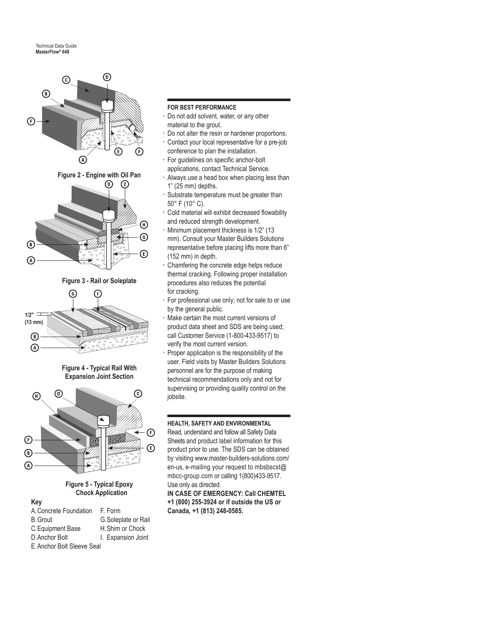



**Figure 5 - Typical Epoxy Chock Application**

## **Key**

| A. Concrete Foundation     | F. Form             |  |
|----------------------------|---------------------|--|
| <b>B.</b> Grout            | G.Soleplate or Rail |  |
| C. Equipment Base          | H. Shim or Chock    |  |
| D. Anchor Bolt             | I. Expansion Joint  |  |
| E. Anchor Bolt Sleeve Seal |                     |  |

#### **FOR BEST PERFORMANCE**

- Do not add solvent, water, or any other material to the grout.
- Do not alter the resin or hardener proportions.
- Contact your local representative for a pre-job conference to plan the installation.
	- For guidelines on specific anchor-bolt applications, contact Technical Service.
	- Always use a head box when placing less than 1" (25 mm) depths.
	- Substrate temperature must be greater than 50° F (10° C).
	- Cold material will exhibit decreased flowability and reduced strength development.
	- Minimum placement thickness is 1/2" (13 mm). Consult your Master Builders Solutions representative before placing lifts more than 6" (152 mm) in depth.
- Chamfering the concrete edge helps reduce thermal cracking. Following proper installation procedures also reduces the potential for cracking.
- For professional use only; not for sale to or use by the general public.
- Make certain the most current versions of product data sheet and SDS are being used; call Customer Service (1-800-433-9517) to verify the most current version.
- Proper application is the responsibility of the user. Field visits by Master Builders Solutions personnel are for the purpose of making technical recommendations only and not for supervising or providing quality control on the iobsite.

### **HEALTH, SAFETY AND ENVIRONMENTAL**

Read, understand and follow all Safety Data Sheets and product label information for this product prior to use. The SDS can be obtained by visiting www.master-builders-solutions.com/ en-us, e-mailing your request to mbsbscst@ mbcc-group.com or calling 1(800)433-9517. Use only as directed.

**IN CASE OF EMERGENCY: Call CHEMTEL +1 (800) 255-3924 or if outside the US or Canada, +1 (813) 248-0585.**